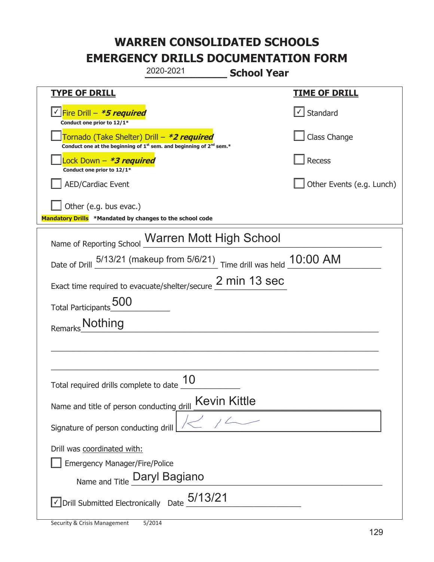| 2020-2021<br><b>School Year</b>                                                                                             |                           |  |  |
|-----------------------------------------------------------------------------------------------------------------------------|---------------------------|--|--|
| <b>TYPE OF DRILL</b>                                                                                                        | <b>TIME OF DRILL</b>      |  |  |
| √Fire Drill – <i>*<b>5 required</b></i><br>Conduct one prior to 12/1*                                                       | √ Standard                |  |  |
| Tornado (Take Shelter) Drill – *2 required<br>Conduct one at the beginning of $1^{st}$ sem. and beginning of $2^{nd}$ sem.* | Class Change              |  |  |
| Lock Down – <b>*<i>3 required</i></b><br>Conduct one prior to 12/1*                                                         | Recess                    |  |  |
| <b>AED/Cardiac Event</b>                                                                                                    | Other Events (e.g. Lunch) |  |  |
| Other (e.g. bus evac.)<br>Mandatory Drills *Mandated by changes to the school code                                          |                           |  |  |
| Name of Reporting School Warren Mott High School                                                                            |                           |  |  |
| Date of Drill $\frac{5/13/21}{2}$ (makeup from 5/6/21) Time drill was held 10:00 AM                                         |                           |  |  |
| Exact time required to evacuate/shelter/secure 2 min 13 sec                                                                 |                           |  |  |
| Total Participants_500                                                                                                      |                           |  |  |
| <b>Nothing</b><br>Remarks                                                                                                   |                           |  |  |
|                                                                                                                             |                           |  |  |
|                                                                                                                             |                           |  |  |
| 10<br>Total required drills complete to date                                                                                |                           |  |  |
| Kevin Kittle<br>Name and title of person conducting drill                                                                   |                           |  |  |
| Signature of person conducting drill                                                                                        |                           |  |  |
| Drill was coordinated with:                                                                                                 |                           |  |  |
| <b>Emergency Manager/Fire/Police</b><br>Name and Title Daryl Bagiano                                                        |                           |  |  |
|                                                                                                                             |                           |  |  |
| $\vee$ Drill Submitted Electronically Date $5/13/21$                                                                        |                           |  |  |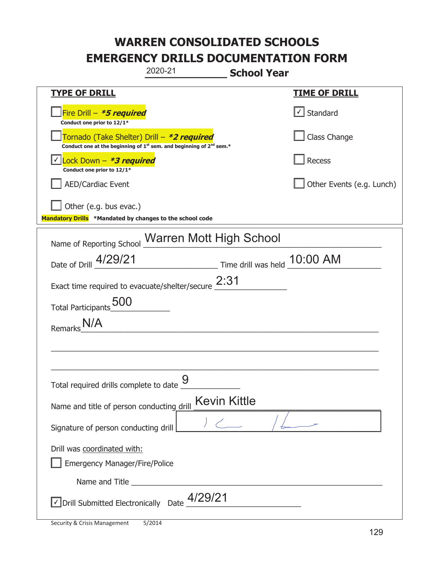|                                                                                                                                           | 2020-21        | <b>School Year</b>           |                           |
|-------------------------------------------------------------------------------------------------------------------------------------------|----------------|------------------------------|---------------------------|
| <b>TYPE OF DRILL</b>                                                                                                                      |                |                              | <u>TIME OF DRILL</u>      |
| Fire Drill - *5 required<br>Conduct one prior to 12/1*                                                                                    |                |                              | √ Standard                |
| Tornado (Take Shelter) Drill – *2 required<br>Conduct one at the beginning of 1 <sup>st</sup> sem. and beginning of 2 <sup>nd</sup> sem.* |                |                              | Class Change              |
| Lock Down - <b>*3 required</b><br>Conduct one prior to 12/1*                                                                              |                |                              | Recess                    |
| <b>AED/Cardiac Event</b>                                                                                                                  |                |                              | Other Events (e.g. Lunch) |
| Other (e.g. bus evac.)<br>Mandatory Drills *Mandated by changes to the school code                                                        |                |                              |                           |
| Name of Reporting School Warren Mott High School                                                                                          |                |                              |                           |
| Date of Drill 4/29/21                                                                                                                     |                | Time drill was held 10:00 AM |                           |
| Exact time required to evacuate/shelter/secure $2:31$                                                                                     |                |                              |                           |
| Total Participants_500                                                                                                                    |                |                              |                           |
| Remarks                                                                                                                                   |                |                              |                           |
|                                                                                                                                           |                |                              |                           |
|                                                                                                                                           |                |                              |                           |
| Total required drills complete to date                                                                                                    | $\overline{Q}$ |                              |                           |
| Name and title of person conducting drill                                                                                                 |                | <b>Kevin Kittle</b>          |                           |
| Signature of person conducting drill                                                                                                      |                |                              |                           |
| Drill was coordinated with:<br><b>Emergency Manager/Fire/Police</b>                                                                       |                |                              |                           |
|                                                                                                                                           |                |                              |                           |
| $\sqrt{\phantom{a}}$ Drill Submitted Electronically Date $\frac{4/29/21}{\phantom{a}}$                                                    |                |                              |                           |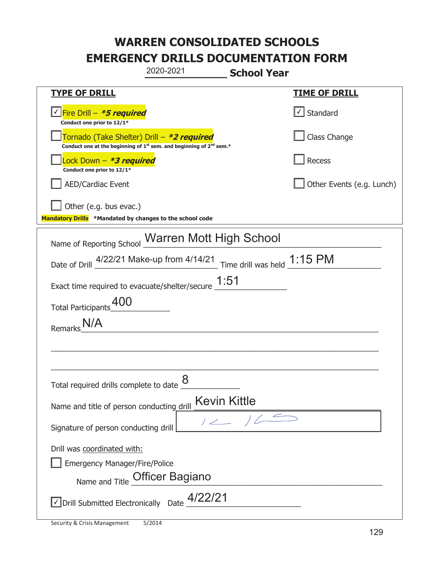|                                                                                    | 2020-2021                                                                     | <b>School Year</b>  |                           |
|------------------------------------------------------------------------------------|-------------------------------------------------------------------------------|---------------------|---------------------------|
| <b>TYPE OF DRILL</b>                                                               |                                                                               |                     | <u>TIME OF DRILL</u>      |
| √Fire Drill – <b>*5 required</b><br>Conduct one prior to 12/1*                     |                                                                               |                     | √ Standard                |
| Tornado (Take Shelter) Drill – *2 required                                         | Conduct one at the beginning of $1^{st}$ sem. and beginning of $2^{nd}$ sem.* |                     | Class Change              |
| ock Down - <b>*3 required</b><br>Conduct one prior to 12/1*                        |                                                                               |                     | Recess                    |
| <b>AED/Cardiac Event</b>                                                           |                                                                               |                     | Other Events (e.g. Lunch) |
| Other (e.g. bus evac.)<br>Mandatory Drills *Mandated by changes to the school code |                                                                               |                     |                           |
| Name of Reporting School Warren Mott High School                                   |                                                                               |                     |                           |
| Date of Drill 4/22/21 Make-up from 4/14/21 Time drill was held 1:15 PM             |                                                                               |                     |                           |
| Exact time required to evacuate/shelter/secure $\underline{1:}51$                  |                                                                               |                     |                           |
| Total Participants_00                                                              |                                                                               |                     |                           |
| Remarks                                                                            |                                                                               |                     |                           |
|                                                                                    |                                                                               |                     |                           |
|                                                                                    |                                                                               |                     |                           |
| Total required drills complete to date                                             | 8                                                                             |                     |                           |
| Name and title of person conducting drill                                          |                                                                               | <b>Kevin Kittle</b> |                           |
| Signature of person conducting drill                                               |                                                                               | 12/65               |                           |
| Drill was coordinated with:<br><b>Emergency Manager/Fire/Police</b>                | Name and Title <b>Officer Bagiano</b>                                         |                     |                           |
| $\sqrt{22/21}$ Drill Submitted Electronically Date $\frac{4/22/21}{2}$             |                                                                               |                     |                           |

t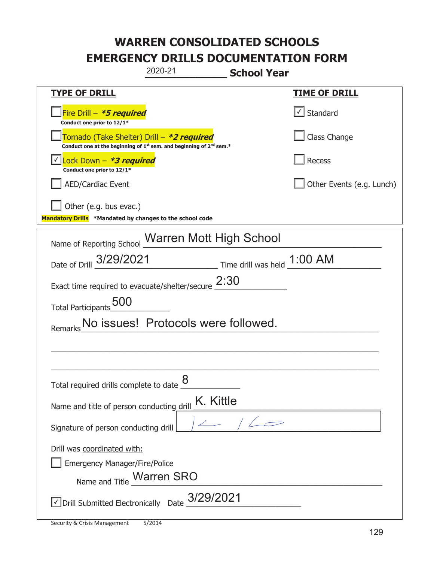| 2020-21                                                                                                                                   | <b>School Year</b>          |  |  |
|-------------------------------------------------------------------------------------------------------------------------------------------|-----------------------------|--|--|
| <b>TYPE OF DRILL</b>                                                                                                                      | <b>TIME OF DRILL</b>        |  |  |
| Fire Drill - *5 required<br>Conduct one prior to 12/1*                                                                                    | √ Standard                  |  |  |
| Tornado (Take Shelter) Drill – *2 required<br>Conduct one at the beginning of 1 <sup>st</sup> sem. and beginning of 2 <sup>nd</sup> sem.* | Class Change                |  |  |
| Lock Down - *3 required<br>Conduct one prior to 12/1*                                                                                     | Recess                      |  |  |
| <b>AED/Cardiac Event</b>                                                                                                                  | Other Events (e.g. Lunch)   |  |  |
| Other (e.g. bus evac.)<br>Mandatory Drills *Mandated by changes to the school code                                                        |                             |  |  |
| Name of Reporting School Warren Mott High School                                                                                          |                             |  |  |
| Date of Drill 3/29/2021                                                                                                                   | Time drill was held 1:00 AM |  |  |
| Exact time required to evacuate/shelter/secure $2:30$                                                                                     |                             |  |  |
| Total Participants_00                                                                                                                     |                             |  |  |
| No issues! Protocols were followed.                                                                                                       |                             |  |  |
|                                                                                                                                           |                             |  |  |
|                                                                                                                                           |                             |  |  |
| 8<br>Total required drills complete to date                                                                                               |                             |  |  |
| Name and title of person conducting drill                                                                                                 | K. Kittle                   |  |  |
| Signature of person conducting drill                                                                                                      |                             |  |  |
| Drill was coordinated with:<br><b>Emergency Manager/Fire/Police</b><br>Name and Title _Warren SRO                                         |                             |  |  |
| $\vee$ Drill Submitted Electronically Date $3/29/2021$                                                                                    |                             |  |  |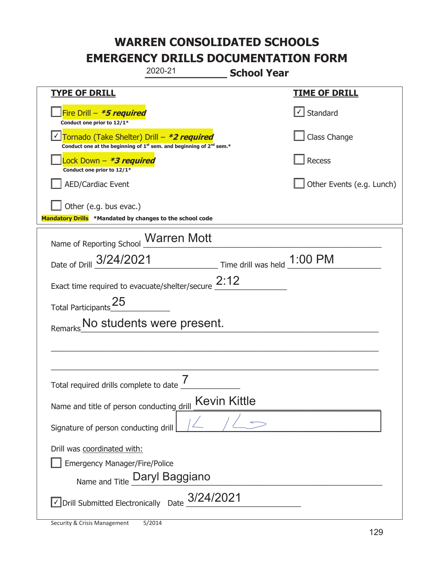| 2020-21<br><b>School Year</b>                                                                                                  |                                   |
|--------------------------------------------------------------------------------------------------------------------------------|-----------------------------------|
| <b>TYPE OF DRILL</b>                                                                                                           | <u>TIME OF DRILL</u>              |
| Fire Drill - <b>*5 required</b><br>Conduct one prior to 12/1*                                                                  | $\lfloor \angle \rfloor$ Standard |
| √ Tornado (Take Shelter) Drill – <b>*2 required</b><br>Conduct one at the beginning of $1st$ sem. and beginning of $2nd$ sem.* | Class Change                      |
| Lock Down - *3 required<br>Conduct one prior to 12/1*                                                                          | Recess                            |
| <b>AED/Cardiac Event</b>                                                                                                       | Other Events (e.g. Lunch)         |
| Other (e.g. bus evac.)<br>Mandatory Drills *Mandated by changes to the school code                                             |                                   |
| Name of Reporting School Marren Mott                                                                                           |                                   |
| Time drill was held 1:00 PM<br>Date of Drill 3/24/2021                                                                         |                                   |
| Exact time required to evacuate/shelter/secure $2:12$                                                                          |                                   |
| Total Participants <sup>25</sup>                                                                                               |                                   |
| Remarks No students were present.                                                                                              |                                   |
|                                                                                                                                |                                   |
|                                                                                                                                |                                   |
| 7<br>Total required drills complete to date                                                                                    |                                   |
| <b>Kevin Kittle</b><br>Name and title of person conducting drill                                                               |                                   |
| Signature of person conducting drill                                                                                           |                                   |
| Drill was coordinated with:                                                                                                    |                                   |
| <b>Emergency Manager/Fire/Police</b><br>Name and Title Daryl Baggiano                                                          |                                   |
|                                                                                                                                |                                   |
| $\overline{\phantom{a}}$ Drill Submitted Electronically Date $\frac{3/24/2021}{2}$                                             |                                   |

t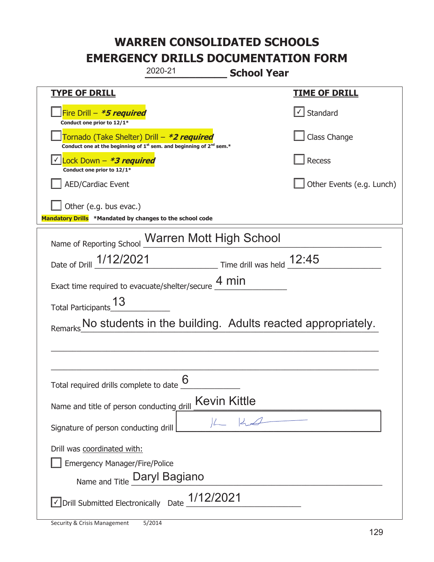| 2020-21<br><b>School Year</b>                                                                                                             |                           |  |  |
|-------------------------------------------------------------------------------------------------------------------------------------------|---------------------------|--|--|
| <b>TYPE OF DRILL</b>                                                                                                                      | <u>TIME OF DRILL</u>      |  |  |
| Fire Drill - *5 required<br>Conduct one prior to 12/1*                                                                                    | √ Standard                |  |  |
| Tornado (Take Shelter) Drill – *2 required<br>Conduct one at the beginning of 1 <sup>st</sup> sem. and beginning of 2 <sup>nd</sup> sem.* | Class Change              |  |  |
| Lock Down $-$ *3 required<br>Conduct one prior to 12/1*                                                                                   | Recess                    |  |  |
| <b>AED/Cardiac Event</b>                                                                                                                  | Other Events (e.g. Lunch) |  |  |
| Other (e.g. bus evac.)<br>Mandatory Drills *Mandated by changes to the school code                                                        |                           |  |  |
| Name of Reporting School Marren Mott High School                                                                                          |                           |  |  |
| Date of Drill 1/12/2021 Time drill was held 12:45                                                                                         |                           |  |  |
| Exact time required to evacuate/shelter/secure $\frac{4 \text{ min}}{4}$                                                                  |                           |  |  |
| Total Participants 13                                                                                                                     |                           |  |  |
| No students in the building. Adults reacted appropriately.                                                                                |                           |  |  |
|                                                                                                                                           |                           |  |  |
|                                                                                                                                           |                           |  |  |
| 6<br>Total required drills complete to date                                                                                               |                           |  |  |
| Kevin Kittle<br>Name and title of person conducting drill                                                                                 |                           |  |  |
| Signature of person conducting drill                                                                                                      |                           |  |  |
| Drill was coordinated with:                                                                                                               |                           |  |  |
| <b>Emergency Manager/Fire/Police</b>                                                                                                      |                           |  |  |
| Name and Title Daryl Bagiano                                                                                                              |                           |  |  |
| $\vee$ Drill Submitted Electronically Date $\_$ 1/12/2021                                                                                 |                           |  |  |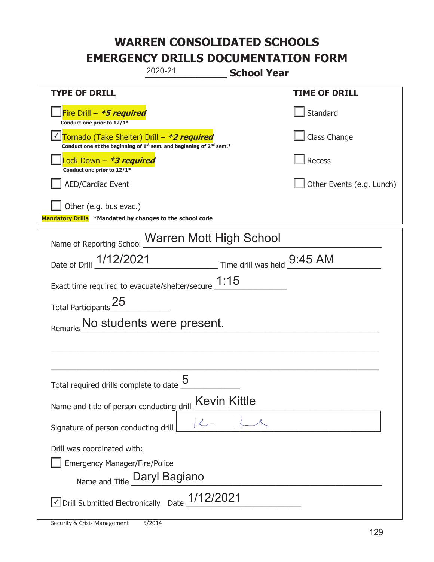| 2020-21<br><b>School Year</b>                                                                                                             |                           |  |  |
|-------------------------------------------------------------------------------------------------------------------------------------------|---------------------------|--|--|
| <b>TYPE OF DRILL</b>                                                                                                                      | <b>TIME OF DRILL</b>      |  |  |
| Fire Drill - *5 required<br>Conduct one prior to 12/1*                                                                                    | Standard                  |  |  |
| Tornado (Take Shelter) Drill - *2 required<br>Conduct one at the beginning of 1 <sup>st</sup> sem. and beginning of 2 <sup>nd</sup> sem.* | Class Change              |  |  |
| Lock Down - <b>*3 required</b><br>Conduct one prior to 12/1*                                                                              | Recess                    |  |  |
| <b>AED/Cardiac Event</b>                                                                                                                  | Other Events (e.g. Lunch) |  |  |
| Other (e.g. bus evac.)<br>Mandatory Drills *Mandated by changes to the school code                                                        |                           |  |  |
| Name of Reporting School Marren Mott High School                                                                                          |                           |  |  |
| Date of Drill 1/12/2021 Time drill was held 9:45 AM                                                                                       |                           |  |  |
| Exact time required to evacuate/shelter/secure $1:15$                                                                                     |                           |  |  |
| Total Participants <sup>25</sup>                                                                                                          |                           |  |  |
| No students were present.<br>Remarks                                                                                                      |                           |  |  |
|                                                                                                                                           |                           |  |  |
|                                                                                                                                           |                           |  |  |
| 5<br>Total required drills complete to date                                                                                               |                           |  |  |
| Name and title of person conducting drill                                                                                                 | <b>Kevin Kittle</b>       |  |  |
| $\langle$<br>Signature of person conducting drill                                                                                         |                           |  |  |
| Drill was coordinated with:                                                                                                               |                           |  |  |
| <b>Emergency Manager/Fire/Police</b>                                                                                                      |                           |  |  |
| Name and Title Daryl Bagiano                                                                                                              |                           |  |  |
| $\triangledown$ Drill Submitted Electronically Date $\underline{\hspace{1em}1/12/2021}$                                                   |                           |  |  |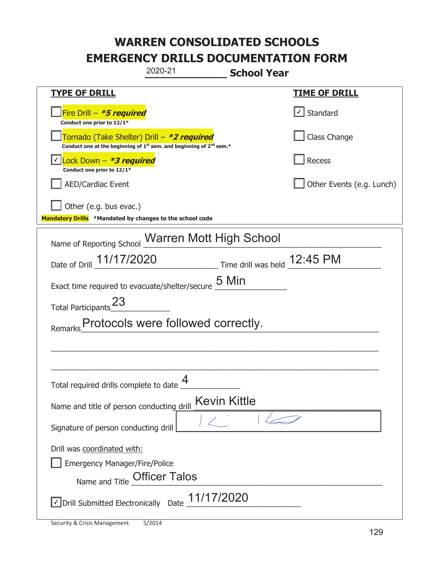| 2020-21                                                                                                                                   | <b>School Year</b>           |
|-------------------------------------------------------------------------------------------------------------------------------------------|------------------------------|
| <b>TYPE OF DRILL</b>                                                                                                                      | <u>TIME OF DRILL</u>         |
| Fire Drill - *5 required<br>Conduct one prior to 12/1*                                                                                    | √ Standard                   |
| Tornado (Take Shelter) Drill – *2 required<br>Conduct one at the beginning of 1 <sup>st</sup> sem. and beginning of 2 <sup>nd</sup> sem.* | Class Change                 |
| Lock Down - *3 required<br>Conduct one prior to 12/1*                                                                                     | Recess                       |
| <b>AED/Cardiac Event</b>                                                                                                                  | Other Events (e.g. Lunch)    |
| Other (e.g. bus evac.)                                                                                                                    |                              |
| Mandatory Drills *Mandated by changes to the school code                                                                                  |                              |
| Name of Reporting School Warren Mott High School                                                                                          |                              |
| Date of Drill 11/17/2020                                                                                                                  | Time drill was held 12:45 PM |
| 5 Min<br>Exact time required to evacuate/shelter/secure                                                                                   |                              |
| Total Participants <sup>23</sup>                                                                                                          |                              |
| Protocols were followed correctly.                                                                                                        |                              |
|                                                                                                                                           |                              |
|                                                                                                                                           |                              |
| ◢<br>Total required drills complete to date                                                                                               |                              |
| <b>Kevin Kittle</b><br>Name and title of person conducting drill                                                                          |                              |
| Signature of person conducting drill                                                                                                      |                              |
| Drill was coordinated with:                                                                                                               |                              |
| <b>Emergency Manager/Fire/Police</b>                                                                                                      |                              |
| Name and Title Officer Talos                                                                                                              |                              |
| 11/17/2020<br>√ Drill Submitted Electronically Date                                                                                       |                              |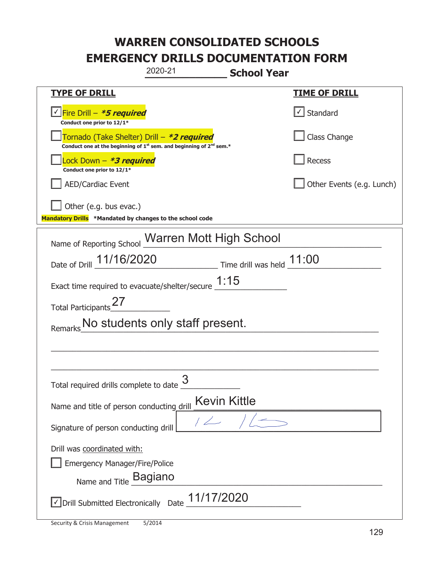| 2020-21<br><b>School Year</b>                                                                                                             |                           |  |  |
|-------------------------------------------------------------------------------------------------------------------------------------------|---------------------------|--|--|
| <b>TYPE OF DRILL</b>                                                                                                                      | <u>TIME OF DRILL</u>      |  |  |
| <u>√ Fire Drill – <i>*5 required</i></u><br>Conduct one prior to 12/1*                                                                    | √ Standard                |  |  |
| Tornado (Take Shelter) Drill – *2 required<br>Conduct one at the beginning of 1 <sup>st</sup> sem. and beginning of 2 <sup>nd</sup> sem.* | Class Change              |  |  |
| Lock Down – <b>*3 required</b><br>Conduct one prior to 12/1*                                                                              | Recess                    |  |  |
| <b>AED/Cardiac Event</b>                                                                                                                  | Other Events (e.g. Lunch) |  |  |
| Other (e.g. bus evac.)                                                                                                                    |                           |  |  |
| Mandatory Drills *Mandated by changes to the school code                                                                                  |                           |  |  |
| Name of Reporting School Warren Mott High School                                                                                          |                           |  |  |
| $\frac{11.00}{100}$ Time drill was held $\frac{11.00}{100}$<br>Date of Drill 11/16/2020                                                   |                           |  |  |
| Exact time required to evacuate/shelter/secure $1:15$                                                                                     |                           |  |  |
| Total Participants_27                                                                                                                     |                           |  |  |
| No students only staff present.                                                                                                           |                           |  |  |
|                                                                                                                                           |                           |  |  |
|                                                                                                                                           |                           |  |  |
| 3<br>Total required drills complete to date                                                                                               |                           |  |  |
| <b>Kevin Kittle</b><br>Name and title of person conducting drill                                                                          |                           |  |  |
| 1/2<br>Signature of person conducting drill                                                                                               |                           |  |  |
| Drill was coordinated with:                                                                                                               |                           |  |  |
| <b>Emergency Manager/Fire/Police</b>                                                                                                      |                           |  |  |
| Name and Title Bagiano                                                                                                                    |                           |  |  |
| $\vee$ Drill Submitted Electronically Date $11/17/2020$                                                                                   |                           |  |  |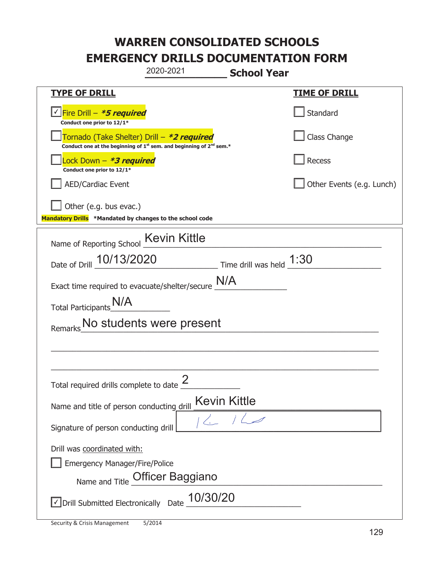|                                                                                    | 2020-2021                                                                                   | <b>School Year</b>                 |                           |
|------------------------------------------------------------------------------------|---------------------------------------------------------------------------------------------|------------------------------------|---------------------------|
| <b>TYPE OF DRILL</b>                                                               |                                                                                             |                                    | <u>TIME OF DRILL</u>      |
| Fire Drill - *5 required<br>Conduct one prior to 12/1*                             |                                                                                             |                                    | Standard                  |
| Tornado (Take Shelter) Drill – *2 required                                         | Conduct one at the beginning of 1 <sup>st</sup> sem. and beginning of 2 <sup>nd</sup> sem.* |                                    | Class Change              |
| Lock Down – <i>*<b>3 required</b></i><br>Conduct one prior to 12/1*                |                                                                                             |                                    | Recess                    |
| <b>AED/Cardiac Event</b>                                                           |                                                                                             |                                    | Other Events (e.g. Lunch) |
| Other (e.g. bus evac.)<br>Mandatory Drills *Mandated by changes to the school code |                                                                                             |                                    |                           |
| Name of Reporting School                                                           | <b>Kevin Kittle</b>                                                                         |                                    |                           |
| Date of Drill 10/13/2020                                                           |                                                                                             | $\_$ Time drill was held $\_$ 1:30 |                           |
| Exact time required to evacuate/shelter/secure $M/A$                               |                                                                                             |                                    |                           |
| Total Participants_N/A                                                             |                                                                                             |                                    |                           |
|                                                                                    | No students were present                                                                    |                                    |                           |
|                                                                                    |                                                                                             |                                    |                           |
|                                                                                    |                                                                                             |                                    |                           |
| Total required drills complete to date $\frac{2}{3}$                               |                                                                                             |                                    |                           |
| Name and title of person conducting drill                                          | Kevin Kittle                                                                                |                                    |                           |
| Signature of person conducting drill                                               |                                                                                             | 2/12                               |                           |
| Drill was coordinated with:                                                        |                                                                                             |                                    |                           |
| <b>Emergency Manager/Fire/Police</b>                                               |                                                                                             |                                    |                           |
|                                                                                    | Name and Title Officer Baggiano                                                             |                                    |                           |
| $\sqrt{\text{Drill}}$ Submitted Electronically Date $\underline{\text{10}}/30/20$  |                                                                                             |                                    |                           |